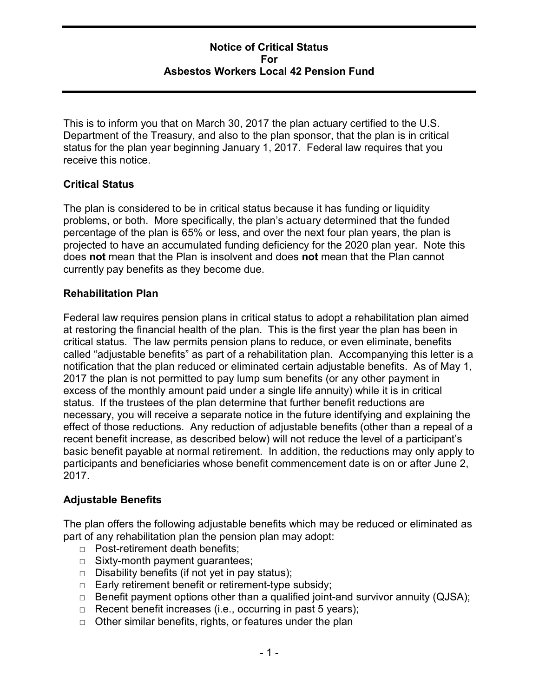### Notice of Critical Status For Asbestos Workers Local 42 Pension Fund

This is to inform you that on March 30, 2017 the plan actuary certified to the U.S. Department of the Treasury, and also to the plan sponsor, that the plan is in critical status for the plan year beginning January 1, 2017. Federal law requires that you receive this notice.

## Critical Status

The plan is considered to be in critical status because it has funding or liquidity problems, or both. More specifically, the plan's actuary determined that the funded percentage of the plan is 65% or less, and over the next four plan years, the plan is projected to have an accumulated funding deficiency for the 2020 plan year. Note this does not mean that the Plan is insolvent and does not mean that the Plan cannot currently pay benefits as they become due.

#### Rehabilitation Plan

Federal law requires pension plans in critical status to adopt a rehabilitation plan aimed at restoring the financial health of the plan. This is the first year the plan has been in critical status. The law permits pension plans to reduce, or even eliminate, benefits called "adjustable benefits" as part of a rehabilitation plan. Accompanying this letter is a notification that the plan reduced or eliminated certain adjustable benefits. As of May 1, 2017 the plan is not permitted to pay lump sum benefits (or any other payment in excess of the monthly amount paid under a single life annuity) while it is in critical status. If the trustees of the plan determine that further benefit reductions are necessary, you will receive a separate notice in the future identifying and explaining the effect of those reductions. Any reduction of adjustable benefits (other than a repeal of a recent benefit increase, as described below) will not reduce the level of a participant's basic benefit payable at normal retirement. In addition, the reductions may only apply to participants and beneficiaries whose benefit commencement date is on or after June 2, 2017.

#### Adjustable Benefits

The plan offers the following adjustable benefits which may be reduced or eliminated as part of any rehabilitation plan the pension plan may adopt:

- □ Post-retirement death benefits;
- □ Sixty-month payment guarantees;
- $\Box$  Disability benefits (if not yet in pay status);
- □ Early retirement benefit or retirement-type subsidy;
- □ Benefit payment options other than a qualified joint-and survivor annuity (QJSA);
- $\Box$  Recent benefit increases (i.e., occurring in past 5 years);
- □ Other similar benefits, rights, or features under the plan